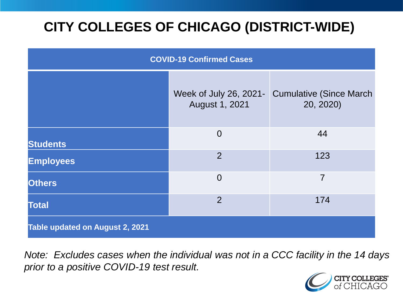# **CITY COLLEGES OF CHICAGO (DISTRICT-WIDE)**

| <b>COVID-19 Confirmed Cases</b> |                                          |                                              |
|---------------------------------|------------------------------------------|----------------------------------------------|
|                                 | Week of July 26, 2021-<br>August 1, 2021 | <b>Cumulative (Since March)</b><br>20, 2020) |
| <b>Students</b>                 | $\overline{0}$                           | 44                                           |
| <b>Employees</b>                | $\overline{2}$                           | 123                                          |
| <b>Others</b>                   | $\overline{0}$                           | $\overline{7}$                               |
| <b>Total</b>                    | 2                                        | 174                                          |
| Table updated on August 2, 2021 |                                          |                                              |

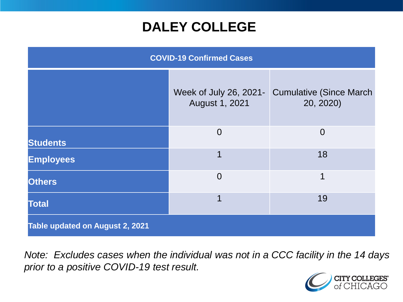### **DALEY COLLEGE**

| <b>COVID-19 Confirmed Cases</b> |                                          |                                              |
|---------------------------------|------------------------------------------|----------------------------------------------|
|                                 | Week of July 26, 2021-<br>August 1, 2021 | <b>Cumulative (Since March)</b><br>20, 2020) |
| <b>Students</b>                 | $\overline{0}$                           | $\overline{0}$                               |
| <b>Employees</b>                | 1                                        | 18                                           |
| <b>Others</b>                   | $\overline{0}$                           | 1                                            |
| <b>Total</b>                    | 1                                        | 19                                           |
| Table updated on August 2, 2021 |                                          |                                              |

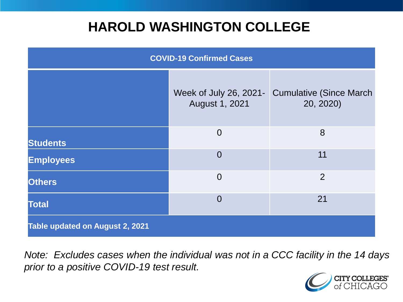### **HAROLD WASHINGTON COLLEGE**

| <b>COVID-19 Confirmed Cases</b> |                                                 |                                              |
|---------------------------------|-------------------------------------------------|----------------------------------------------|
|                                 | Week of July 26, 2021-<br><b>August 1, 2021</b> | <b>Cumulative (Since March)</b><br>20, 2020) |
| <b>Students</b>                 | $\overline{0}$                                  | 8                                            |
| <b>Employees</b>                | $\Omega$                                        | 11                                           |
| <b>Others</b>                   | $\overline{0}$                                  | $\overline{2}$                               |
| <b>Total</b>                    | $\Omega$                                        | 21                                           |
| Table updated on August 2, 2021 |                                                 |                                              |

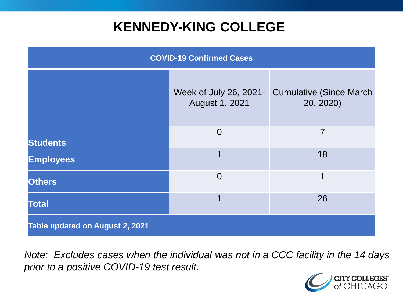## **KENNEDY-KING COLLEGE**

| <b>COVID-19 Confirmed Cases</b> |                                          |                                              |
|---------------------------------|------------------------------------------|----------------------------------------------|
|                                 | Week of July 26, 2021-<br>August 1, 2021 | <b>Cumulative (Since March)</b><br>20, 2020) |
| <b>Students</b>                 | $\overline{0}$                           | 7                                            |
| <b>Employees</b>                | 1                                        | 18                                           |
| <b>Others</b>                   | $\overline{0}$                           | 1                                            |
| <b>Total</b>                    | 1                                        | 26                                           |
| Table updated on August 2, 2021 |                                          |                                              |

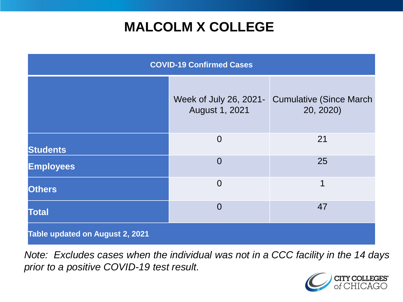# **MALCOLM X COLLEGE**

| <b>COVID-19 Confirmed Cases</b> |                                          |                                              |
|---------------------------------|------------------------------------------|----------------------------------------------|
|                                 | Week of July 26, 2021-<br>August 1, 2021 | <b>Cumulative (Since March)</b><br>20, 2020) |
| <b>Students</b>                 | $\overline{0}$                           | 21                                           |
| <b>Employees</b>                | $\overline{0}$                           | 25                                           |
| <b>Others</b>                   | $\overline{0}$                           | 1                                            |
| <b>Total</b>                    | $\overline{0}$                           | 47                                           |
| Table updated on August 2, 2021 |                                          |                                              |

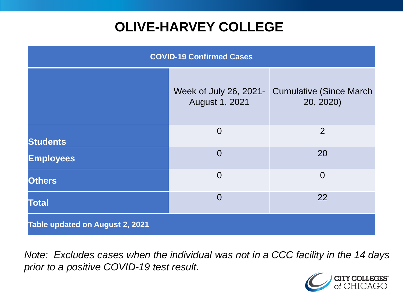# **OLIVE-HARVEY COLLEGE**

| <b>COVID-19 Confirmed Cases</b> |                                          |                                              |
|---------------------------------|------------------------------------------|----------------------------------------------|
|                                 | Week of July 26, 2021-<br>August 1, 2021 | <b>Cumulative (Since March)</b><br>20, 2020) |
| <b>Students</b>                 | $\overline{0}$                           | 2                                            |
| <b>Employees</b>                | $\Omega$                                 | 20                                           |
| <b>Others</b>                   | $\overline{0}$                           | $\overline{0}$                               |
| <b>Total</b>                    | $\overline{0}$                           | 22                                           |
| Table updated on August 2, 2021 |                                          |                                              |

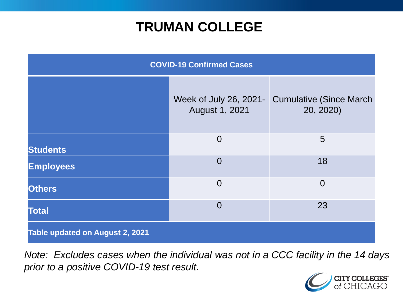### **TRUMAN COLLEGE**

| <b>COVID-19 Confirmed Cases</b> |                                          |                                              |
|---------------------------------|------------------------------------------|----------------------------------------------|
|                                 | Week of July 26, 2021-<br>August 1, 2021 | <b>Cumulative (Since March)</b><br>20, 2020) |
| <b>Students</b>                 | $\overline{0}$                           | 5                                            |
| <b>Employees</b>                | $\overline{0}$                           | 18                                           |
| <b>Others</b>                   | $\overline{0}$                           | $\overline{0}$                               |
| <b>Total</b>                    | $\overline{0}$                           | 23                                           |
| Table updated on August 2, 2021 |                                          |                                              |

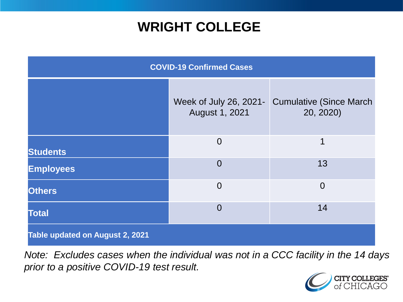## **WRIGHT COLLEGE**

| <b>COVID-19 Confirmed Cases</b> |                                          |                                              |
|---------------------------------|------------------------------------------|----------------------------------------------|
|                                 | Week of July 26, 2021-<br>August 1, 2021 | <b>Cumulative (Since March)</b><br>20, 2020) |
| <b>Students</b>                 | $\overline{0}$                           | 1                                            |
| <b>Employees</b>                | $\overline{0}$                           | 13                                           |
| <b>Others</b>                   | $\overline{0}$                           | $\overline{0}$                               |
| <b>Total</b>                    | $\overline{0}$                           | 14                                           |
| Table updated on August 2, 2021 |                                          |                                              |